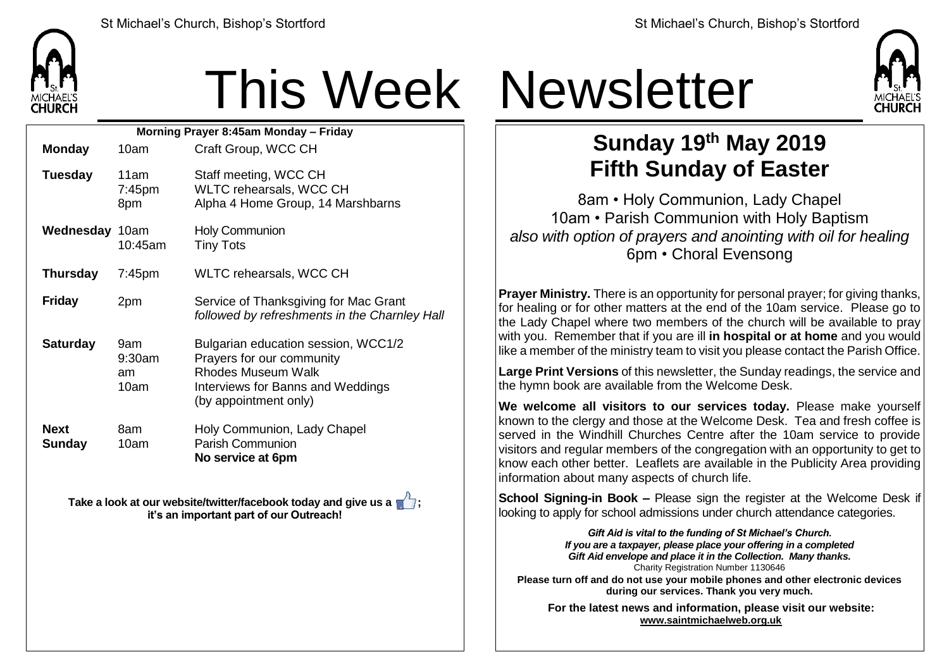

## This Week Newsletter

| Morning Prayer 8:45am Monday - Friday |                                |                                                                                                                                                             |  |  |  |  |
|---------------------------------------|--------------------------------|-------------------------------------------------------------------------------------------------------------------------------------------------------------|--|--|--|--|
| <b>Monday</b>                         | 10am                           | Craft Group, WCC CH                                                                                                                                         |  |  |  |  |
| <b>Tuesday</b>                        | 11am<br>7:45pm<br>8pm          | Staff meeting, WCC CH<br>WLTC rehearsals, WCC CH<br>Alpha 4 Home Group, 14 Marshbarns                                                                       |  |  |  |  |
| <b>Wednesday 10am</b>                 | 10:45am                        | <b>Holy Communion</b><br><b>Tiny Tots</b>                                                                                                                   |  |  |  |  |
| <b>Thursday</b>                       | $7:45$ pm                      | WLTC rehearsals, WCC CH                                                                                                                                     |  |  |  |  |
| <b>Friday</b>                         | 2pm                            | Service of Thanksgiving for Mac Grant<br>followed by refreshments in the Charnley Hall                                                                      |  |  |  |  |
| <b>Saturday</b>                       | 9am<br>$9:30$ am<br>am<br>10am | Bulgarian education session, WCC1/2<br>Prayers for our community<br><b>Rhodes Museum Walk</b><br>Interviews for Banns and Weddings<br>(by appointment only) |  |  |  |  |
| <b>Next</b><br>Sunday                 | 8am<br>10am                    | Holy Communion, Lady Chapel<br><b>Parish Communion</b><br>No service at 6pm                                                                                 |  |  |  |  |

**Take a look at our website/twitter/facebook today and give us a**  $\mathbf{r}$ **; it's an important part of our Outreach!**



## **Sunday 19 th May 2019 Fifth Sunday of Easter**

8am • Holy Communion, Lady Chapel 10am • Parish Communion with Holy Baptism *also with option of prayers and anointing with oil for healing* 6pm • Choral Evensong

**Prayer Ministry.** There is an opportunity for personal prayer; for giving thanks, for healing or for other matters at the end of the 10am service. Please go to the Lady Chapel where two members of the church will be available to pray with you. Remember that if you are ill **in hospital or at home** and you would like a member of the ministry team to visit you please contact the Parish Office.

**Large Print Versions** of this newsletter, the Sunday readings, the service and the hymn book are available from the Welcome Desk.

**We welcome all visitors to our services today.** Please make yourself known to the clergy and those at the Welcome Desk. Tea and fresh coffee is served in the Windhill Churches Centre after the 10am service to provide visitors and regular members of the congregation with an opportunity to get to know each other better. Leaflets are available in the Publicity Area providing information about many aspects of church life.

**School Signing-in Book –** Please sign the register at the Welcome Desk if looking to apply for school admissions under church attendance categories.

> *Gift Aid is vital to the funding of St Michael's Church. If you are a taxpayer, please place your offering in a completed Gift Aid envelope and place it in the Collection. Many thanks.* Charity Registration Number 1130646

**Please turn off and do not use your mobile phones and other electronic devices during our services. Thank you very much.**

**For the latest news and information, please visit our website: [www.saintmichaelweb.org.uk](http://www.saintmichaelweb.org.uk/)**